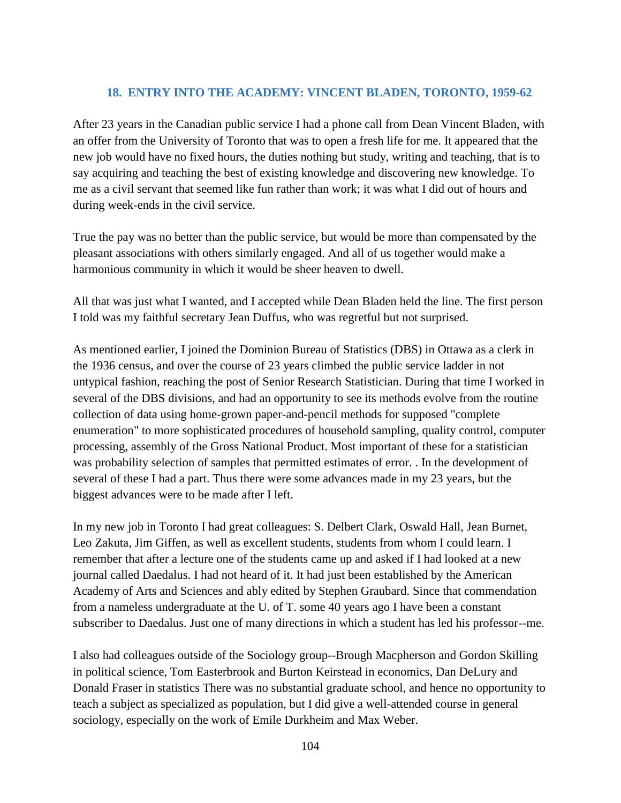## **18. ENTRY INTO THE ACADEMY: VINCENT BLADEN, TORONTO, 1959-62**

After 23 years in the Canadian public service I had a phone call from Dean Vincent Bladen, with an offer from the University of Toronto that was to open a fresh life for me. It appeared that the new job would have no fixed hours, the duties nothing but study, writing and teaching, that is to say acquiring and teaching the best of existing knowledge and discovering new knowledge. To me as a civil servant that seemed like fun rather than work; it was what I did out of hours and during week-ends in the civil service.

True the pay was no better than the public service, but would be more than compensated by the pleasant associations with others similarly engaged. And all of us together would make a harmonious community in which it would be sheer heaven to dwell.

All that was just what I wanted, and I accepted while Dean Bladen held the line. The first person I told was my faithful secretary Jean Duffus, who was regretful but not surprised.

As mentioned earlier, I joined the Dominion Bureau of Statistics (DBS) in Ottawa as a clerk in the 1936 census, and over the course of 23 years climbed the public service ladder in not untypical fashion, reaching the post of Senior Research Statistician. During that time I worked in several of the DBS divisions, and had an opportunity to see its methods evolve from the routine collection of data using home-grown paper-and-pencil methods for supposed "complete enumeration" to more sophisticated procedures of household sampling, quality control, computer processing, assembly of the Gross National Product. Most important of these for a statistician was probability selection of samples that permitted estimates of error. . In the development of several of these I had a part. Thus there were some advances made in my 23 years, but the biggest advances were to be made after I left.

In my new job in Toronto I had great colleagues: S. Delbert Clark, Oswald Hall, Jean Burnet, Leo Zakuta, Jim Giffen, as well as excellent students, students from whom I could learn. I remember that after a lecture one of the students came up and asked if I had looked at a new journal called Daedalus. I had not heard of it. It had just been established by the American Academy of Arts and Sciences and ably edited by Stephen Graubard. Since that commendation from a nameless undergraduate at the U. of T. some 40 years ago I have been a constant subscriber to Daedalus. Just one of many directions in which a student has led his professor--me.

I also had colleagues outside of the Sociology group--Brough Macpherson and Gordon Skilling in political science, Tom Easterbrook and Burton Keirstead in economics, Dan DeLury and Donald Fraser in statistics There was no substantial graduate school, and hence no opportunity to teach a subject as specialized as population, but I did give a well-attended course in general sociology, especially on the work of Emile Durkheim and Max Weber.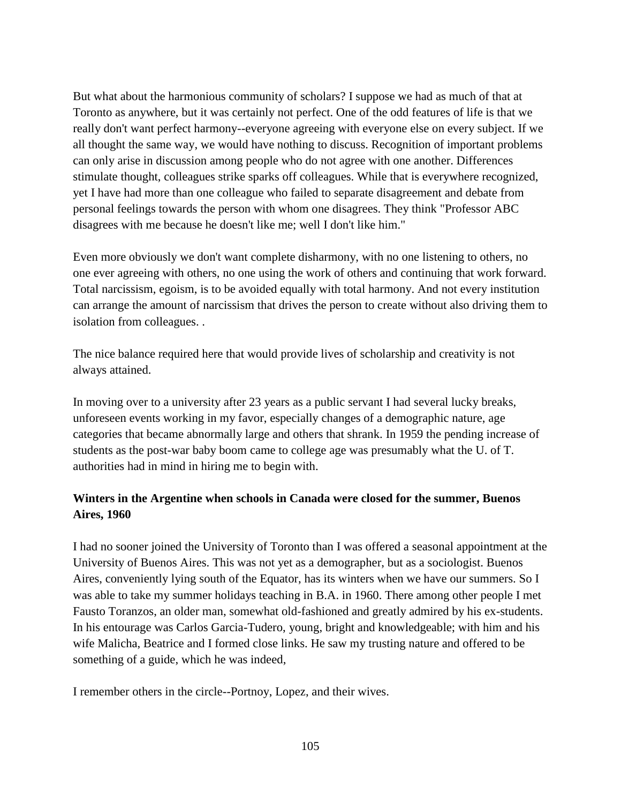But what about the harmonious community of scholars? I suppose we had as much of that at Toronto as anywhere, but it was certainly not perfect. One of the odd features of life is that we really don't want perfect harmony--everyone agreeing with everyone else on every subject. If we all thought the same way, we would have nothing to discuss. Recognition of important problems can only arise in discussion among people who do not agree with one another. Differences stimulate thought, colleagues strike sparks off colleagues. While that is everywhere recognized, yet I have had more than one colleague who failed to separate disagreement and debate from personal feelings towards the person with whom one disagrees. They think "Professor ABC disagrees with me because he doesn't like me; well I don't like him."

Even more obviously we don't want complete disharmony, with no one listening to others, no one ever agreeing with others, no one using the work of others and continuing that work forward. Total narcissism, egoism, is to be avoided equally with total harmony. And not every institution can arrange the amount of narcissism that drives the person to create without also driving them to isolation from colleagues. .

The nice balance required here that would provide lives of scholarship and creativity is not always attained.

In moving over to a university after 23 years as a public servant I had several lucky breaks, unforeseen events working in my favor, especially changes of a demographic nature, age categories that became abnormally large and others that shrank. In 1959 the pending increase of students as the post-war baby boom came to college age was presumably what the U. of T. authorities had in mind in hiring me to begin with.

## **Winters in the Argentine when schools in Canada were closed for the summer, Buenos Aires, 1960**

I had no sooner joined the University of Toronto than I was offered a seasonal appointment at the University of Buenos Aires. This was not yet as a demographer, but as a sociologist. Buenos Aires, conveniently lying south of the Equator, has its winters when we have our summers. So I was able to take my summer holidays teaching in B.A. in 1960. There among other people I met Fausto Toranzos, an older man, somewhat old-fashioned and greatly admired by his ex-students. In his entourage was Carlos Garcia-Tudero, young, bright and knowledgeable; with him and his wife Malicha, Beatrice and I formed close links. He saw my trusting nature and offered to be something of a guide, which he was indeed,

I remember others in the circle--Portnoy, Lopez, and their wives.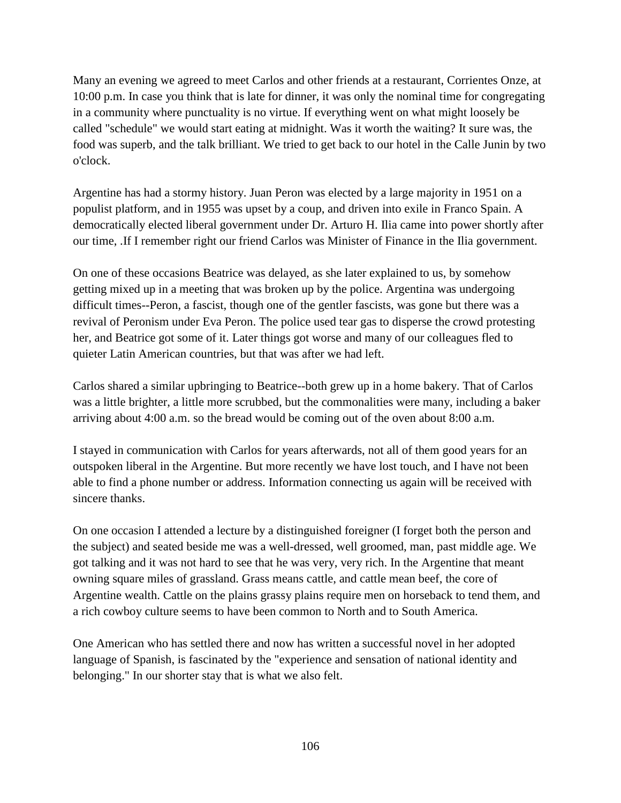Many an evening we agreed to meet Carlos and other friends at a restaurant, Corrientes Onze, at 10:00 p.m. In case you think that is late for dinner, it was only the nominal time for congregating in a community where punctuality is no virtue. If everything went on what might loosely be called "schedule" we would start eating at midnight. Was it worth the waiting? It sure was, the food was superb, and the talk brilliant. We tried to get back to our hotel in the Calle Junin by two o'clock.

Argentine has had a stormy history. Juan Peron was elected by a large majority in 1951 on a populist platform, and in 1955 was upset by a coup, and driven into exile in Franco Spain. A democratically elected liberal government under Dr. Arturo H. Ilia came into power shortly after our time, .If I remember right our friend Carlos was Minister of Finance in the Ilia government.

On one of these occasions Beatrice was delayed, as she later explained to us, by somehow getting mixed up in a meeting that was broken up by the police. Argentina was undergoing difficult times--Peron, a fascist, though one of the gentler fascists, was gone but there was a revival of Peronism under Eva Peron. The police used tear gas to disperse the crowd protesting her, and Beatrice got some of it. Later things got worse and many of our colleagues fled to quieter Latin American countries, but that was after we had left.

Carlos shared a similar upbringing to Beatrice--both grew up in a home bakery. That of Carlos was a little brighter, a little more scrubbed, but the commonalities were many, including a baker arriving about 4:00 a.m. so the bread would be coming out of the oven about 8:00 a.m.

I stayed in communication with Carlos for years afterwards, not all of them good years for an outspoken liberal in the Argentine. But more recently we have lost touch, and I have not been able to find a phone number or address. Information connecting us again will be received with sincere thanks.

On one occasion I attended a lecture by a distinguished foreigner (I forget both the person and the subject) and seated beside me was a well-dressed, well groomed, man, past middle age. We got talking and it was not hard to see that he was very, very rich. In the Argentine that meant owning square miles of grassland. Grass means cattle, and cattle mean beef, the core of Argentine wealth. Cattle on the plains grassy plains require men on horseback to tend them, and a rich cowboy culture seems to have been common to North and to South America.

One American who has settled there and now has written a successful novel in her adopted language of Spanish, is fascinated by the "experience and sensation of national identity and belonging." In our shorter stay that is what we also felt.